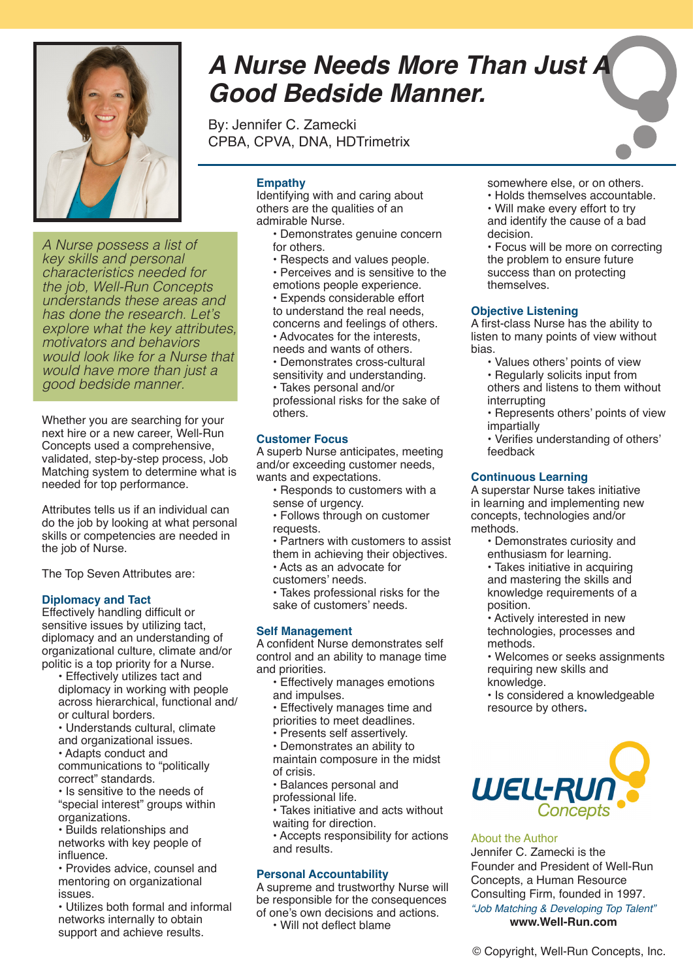

*A Nurse possess a list of key skills and personal characteristics needed for the job, Well-Run Concepts understands these areas and has done the research. Let's explore what the key attributes, motivators and behaviors would look like for a Nurse that would have more than just a good bedside manner.* 

Whether you are searching for your next hire or a new career, Well-Run Concepts used a comprehensive, validated, step-by-step process, Job Matching system to determine what is needed for top performance.

Attributes tells us if an individual can do the job by looking at what personal skills or competencies are needed in the job of Nurse.

The Top Seven Attributes are:

# **Diplomacy and Tact**

Effectively handling difficult or sensitive issues by utilizing tact, diplomacy and an understanding of organizational culture, climate and/or politic is a top priority for a Nurse.

- Effectively utilizes tact and diplomacy in working with people across hierarchical, functional and/ or cultural borders.
- Understands cultural, climate and organizational issues.
- Adapts conduct and

communications to "politically correct" standards.

- Is sensitive to the needs of "special interest" groups within organizations.
- Builds relationships and networks with key people of influence.
- Provides advice, counsel and mentoring on organizational issues.
- Utilizes both formal and informal networks internally to obtain support and achieve results.

# *A Nurse Needs More Than Just A Good Bedside Manner.*

By: Jennifer C. Zamecki CPBA, CPVA, DNA, HDTrimetrix

# **Empathy**

Identifying with and caring about others are the qualities of an admirable Nurse.

- Demonstrates genuine concern for others.
- Respects and values people.
- Perceives and is sensitive to the emotions people experience.
- Expends considerable effort
- to understand the real needs, concerns and feelings of others.
- Advocates for the interests,
- needs and wants of others.
- Demonstrates cross-cultural sensitivity and understanding.

• Takes personal and/or professional risks for the sake of others.

# **Customer Focus**

A superb Nurse anticipates, meeting and/or exceeding customer needs, wants and expectations.

- Responds to customers with a sense of urgency.
- Follows through on customer requests.
- Partners with customers to assist them in achieving their objectives.
- Acts as an advocate for
- customers' needs.
- Takes professional risks for the sake of customers' needs.

#### **Self Management**

A confident Nurse demonstrates self control and an ability to manage time and priorities.

- Effectively manages emotions and impulses.
- Effectively manages time and
- priorities to meet deadlines.
- Presents self assertively.

• Demonstrates an ability to maintain composure in the midst of crisis.

- Balances personal and professional life.
- Takes initiative and acts without waiting for direction.
- Accepts responsibility for actions and results.

# **Personal Accountability**

A supreme and trustworthy Nurse will be responsible for the consequences of one's own decisions and actions.

• Will not deflect blame

- somewhere else, or on others.
- Holds themselves accountable. • Will make every effort to try and identify the cause of a bad decision.

• Focus will be more on correcting the problem to ensure future success than on protecting themselves.

#### **Objective Listening**

A first-class Nurse has the ability to listen to many points of view without bias.

- Values others' points of view
- Regularly solicits input from others and listens to them without interrupting
- Represents others' points of view impartially
- Verifies understanding of others' feedback

## **Continuous Learning**

A superstar Nurse takes initiative in learning and implementing new concepts, technologies and/or methods.

- Demonstrates curiosity and enthusiasm for learning.
- Takes initiative in acquiring and mastering the skills and knowledge requirements of a position.
- Actively interested in new technologies, processes and methods.

• Welcomes or seeks assignments requiring new skills and knowledge.

• Is considered a knowledgeable resource by others**.**



#### About the Author

Jennifer C. Zamecki is the Founder and President of Well-Run Concepts, a Human Resource Consulting Firm, founded in 1997. *"Job Matching & Developing Top Talent"* **www.Well-Run.com**